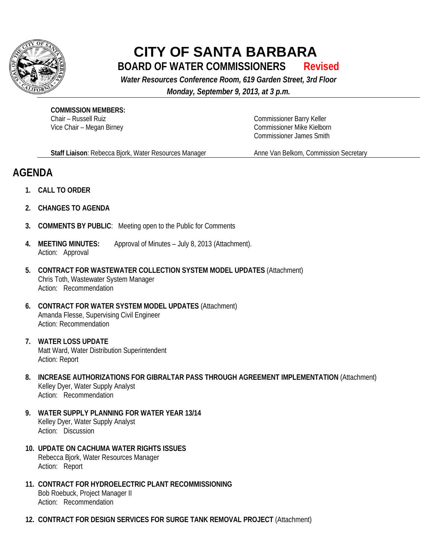

## **CITY OF SANTA BARBARA BOARD OF WATER COMMISSIONERS Revised**

*Water Resources Conference Room, 619 Garden Street, 3rd Floor*

*Monday, September 9, 2013, at 3 p.m.*

**COMMISSION MEMBERS:** Chair – Russell Ruiz Vice Chair – Megan Birney

Commissioner Barry Keller Commissioner Mike Kielborn Commissioner James Smith

**Staff Liaison**: Rebecca Bjork, Water Resources Manager

Anne Van Belkom, Commission Secretary

## **AGENDA**

- **1. CALL TO ORDER**
- **2. CHANGES TO AGENDA**
- **3. COMMENTS BY PUBLIC**: Meeting open to the Public for Comments
- **4. MEETING MINUTES:** Approval of Minutes July 8, 2013 (Attachment). Action: Approval
- **5. CONTRACT FOR WASTEWATER COLLECTION SYSTEM MODEL UPDATES** (Attachment) Chris Toth, Wastewater System Manager Action: Recommendation
- **6. CONTRACT FOR WATER SYSTEM MODEL UPDATES** (Attachment) Amanda Flesse, Supervising Civil Engineer Action: Recommendation
- **7. WATER LOSS UPDATE** Matt Ward, Water Distribution Superintendent Action: Report
- **8. INCREASE AUTHORIZATIONS FOR GIBRALTAR PASS THROUGH AGREEMENT IMPLEMENTATION** (Attachment) Kelley Dyer, Water Supply Analyst Action: Recommendation
- **9. WATER SUPPLY PLANNING FOR WATER YEAR 13/14** Kelley Dyer, Water Supply Analyst Action: Discussion
- **10. UPDATE ON CACHUMA WATER RIGHTS ISSUES** Rebecca Bjork, Water Resources Manager Action: Report
- **11. CONTRACT FOR HYDROELECTRIC PLANT RECOMMISSIONING** Bob Roebuck, Project Manager II Action: Recommendation
- **12. CONTRACT FOR DESIGN SERVICES FOR SURGE TANK REMOVAL PROJECT** (Attachment)